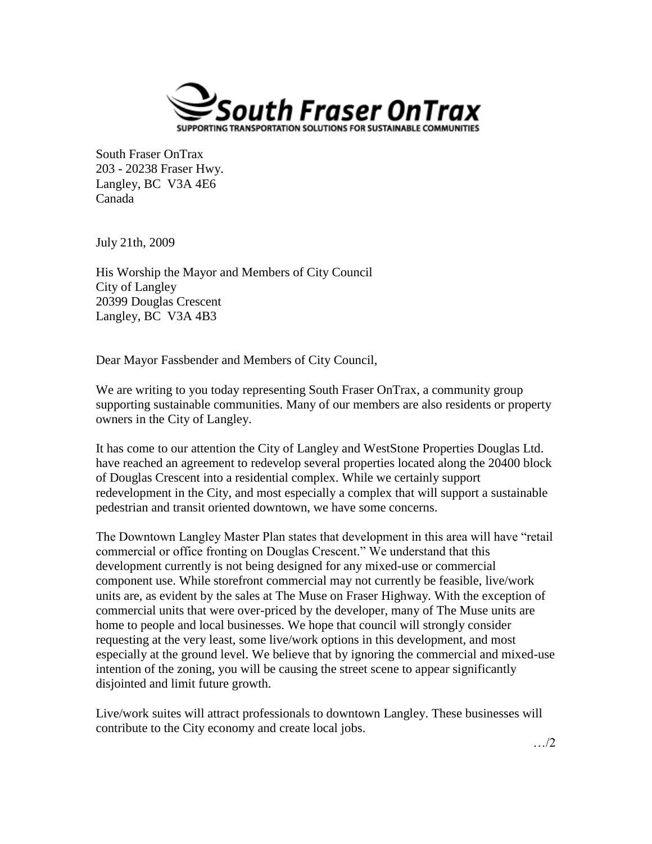

South Fraser OnTrax 203 - 20238 Fraser Hwy. Langley, BC V3A 4E6 Canada

July 21th, 2009

His Worship the Mayor and Members of City Council City of Langley 20399 Douglas Crescent Langley, BC V3A 4B3

Dear Mayor Fassbender and Members of City Council,

We are writing to you today representing South Fraser OnTrax, a community group supporting sustainable communities. Many of our members are also residents or property owners in the City of Langley.

It has come to our attention the City of Langley and WestStone Properties Douglas Ltd. have reached an agreement to redevelop several properties located along the 20400 block of Douglas Crescent into a residential complex. While we certainly support redevelopment in the City, and most especially a complex that will support a sustainable pedestrian and transit oriented downtown, we have some concerns.

The Downtown Langley Master Plan states that development in this area will have "retail commercial or office fronting on Douglas Crescent." We understand that this development currently is not being designed for any mixed-use or commercial component use. While storefront commercial may not currently be feasible, live/work units are, as evident by the sales at The Muse on Fraser Highway. With the exception of commercial units that were over-priced by the developer, many of The Muse units are home to people and local businesses. We hope that council will strongly consider requesting at the very least, some live/work options in this development, and most especially at the ground level. We believe that by ignoring the commercial and mixed-use intention of the zoning, you will be causing the street scene to appear significantly disjointed and limit future growth.

Live/work suites will attract professionals to downtown Langley. These businesses will contribute to the City economy and create local jobs.